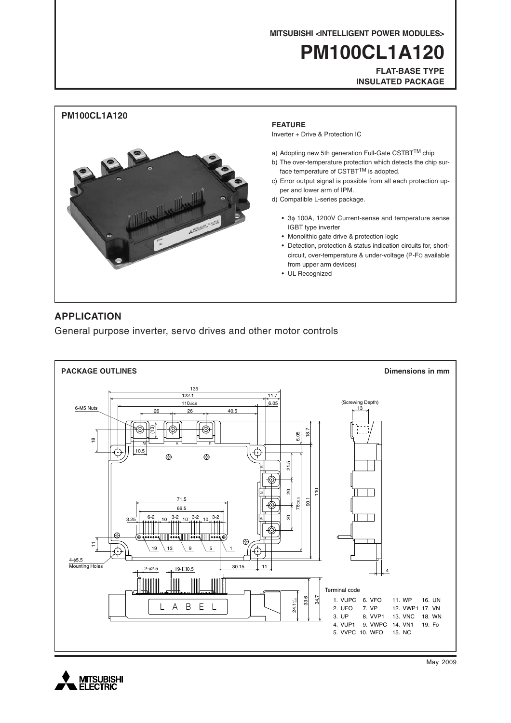**MITSUBISHI <INTELLIGENT POWER MODULES>**

# **PM100CL1A120**

**FLAT-BASE TYPE INSULATED PACKAGE**



### **APPLICATION**

General purpose inverter, servo drives and other motor controls





May 2009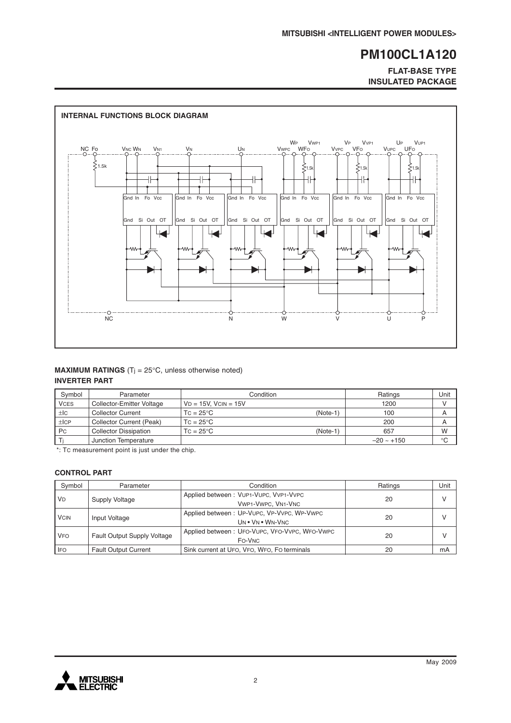#### **FLAT-BASE TYPE INSULATED PACKAGE**



#### **MAXIMUM RATINGS** (T<sub>j</sub> = 25°C, unless otherwise noted) **INVERTER PART**

| Symbol      | Parameter                    | Condition                      | Ratings         | Unit        |
|-------------|------------------------------|--------------------------------|-----------------|-------------|
| <b>VCES</b> | Collector-Emitter Voltage    | $VD = 15V$ . $VCIN = 15V$      | 1200            |             |
| ±IC         | <b>Collector Current</b>     | $TC = 25^{\circ}C$<br>(Note-1) | 100             | A           |
| ±ICP        | Collector Current (Peak)     | $TC = 25^{\circ}C$             | 200             | A           |
| <b>Pc</b>   | <b>Collector Dissipation</b> | (Note-1<br>$TC = 25^{\circ}C$  | 657             | W           |
|             | Junction Temperature         |                                | $-20 \sim +150$ | $^{\circ}C$ |

\*: TC measurement point is just under the chip.

#### **CONTROL PART**

| Symbol      | Parameter                          | Condition                                                      | Ratings | Unit          |
|-------------|------------------------------------|----------------------------------------------------------------|---------|---------------|
| <b>VD</b>   | Supply Voltage                     | Applied between: VUP1-VUPC, VVP1-VVPC<br>VWP1-VWPC, VN1-VNC    | 20      | $\mathcal{U}$ |
| <b>VCIN</b> | Input Voltage                      | Applied between: UP-VUPC, VP-VVPC, WP-VWPC<br>UN . VN . WN-VNC | 20      | $\mathsf{V}$  |
| <b>VFO</b>  | <b>Fault Output Supply Voltage</b> | Applied between: UFO-VUPC, VFO-VVPC, WFO-VWPC<br>FO-VNC        | 20      |               |
| <b>IFO</b>  | <b>Fault Output Current</b>        | Sink current at UFO, VFO, WFO, FO terminals                    | 20      | mA            |

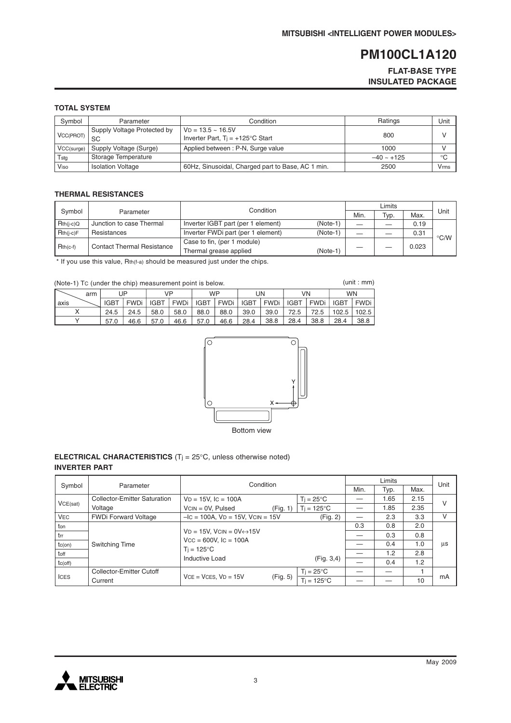#### **FLAT-BASE TYPE INSULATED PACKAGE**

#### **TOTAL SYSTEM**

| Symbol     | Parameter                         | Condition                                                         | Ratings         | Unit |
|------------|-----------------------------------|-------------------------------------------------------------------|-----------------|------|
| VCC(PROT)  | Supply Voltage Protected by<br>SC | $VD = 13.5 - 16.5V$<br>Inverter Part, $T_i = +125^{\circ}C$ Start | 800             |      |
| VCC(surge) | Supply Voltage (Surge)            | Applied between: P-N, Surge value                                 | 1000            |      |
| Tstg       | Storage Temperature               |                                                                   | $-40 \sim +125$ | °C   |
| Viso       | <b>Isolation Voltage</b>          | 60Hz, Sinusoidal, Charged part to Base, AC 1 min.                 | 2500            | Vmms |

#### **THERMAL RESISTANCES**

57.0

 $\overline{Y}$ 

|                     |                                   | Condition                          |            |      |      |       |                    |
|---------------------|-----------------------------------|------------------------------------|------------|------|------|-------|--------------------|
| Symbol<br>Parameter |                                   |                                    |            | Min. | Typ. | Max.  | Unit               |
| $Rth(i-c)Q$         | Junction to case Thermal          | Inverter IGBT part (per 1 element) | $(Note-1)$ |      |      | 0.19  |                    |
| $Rth(i-c)F$         | Resistances                       | Inverter FWDi part (per 1 element) | $(Note-1)$ |      |      | 0.31  | $\rm ^{\circ}$ C/W |
| $Rth(c-f)$          | <b>Contact Thermal Resistance</b> | Case to fin, (per 1 module)        |            |      |      |       |                    |
|                     |                                   | Thermal grease applied             | $(Note-1)$ |      |      | 0.023 |                    |

 $*$  If you use this value, Rth(f-a) should be measured just under the chips.

| (unit:mm)<br>(Note-1) Tc (under the chip) measurement point is below. |             |        |      |             |      |                           |      |      |        |        |             |  |
|-----------------------------------------------------------------------|-------------|--------|------|-------------|------|---------------------------|------|------|--------|--------|-------------|--|
| arm                                                                   |             | UΡ     |      | VP          |      | <b>WP</b>                 |      | UN   |        | VN     | <b>WN</b>   |  |
| l axis                                                                | <b>IGBT</b> | FWDi l |      | IGBT   FWDi |      | IGBT   FWDi   IGBT   FWDi |      |      | IGBT I | FWDi l | IGBT   FWDi |  |
|                                                                       | 24.5        | 24.5   | 58.0 | 58.0        | 88.0 | 88.0                      | 39.0 | 39.0 | 72.5   | 72.5   | 102.5 102.5 |  |

46.6 57.0 46.6 57.0 46.6



 $\overline{28.4}$ 

 $38.8$ 

28.4

38.8

(unit : mm)

38.8

28.4

#### **ELECTRICAL CHARACTERISTICS** (Tj = 25°C, unless otherwise noted) **INVERTER PART**

|                |                                     | Condition                                    |          |                      | Limits |      |      | Unit |
|----------------|-------------------------------------|----------------------------------------------|----------|----------------------|--------|------|------|------|
| Symbol         | Parameter                           |                                              |          |                      |        | Typ. | Max. |      |
|                | <b>Collector-Emitter Saturation</b> | $VD = 15V$ , $IC = 100A$                     |          | $Ti = 25^{\circ}C$   |        | 1.65 | 2.15 |      |
| VCE(sat)       | Voltage                             | $VCN = 0V$ , Pulsed                          | (Fig. 1) | $T_i = 125^{\circ}C$ |        | 1.85 | 2.35 | V    |
| <b>VEC</b>     | <b>FWDi Forward Voltage</b>         | $-IC = 100A$ , $VD = 15V$ , $VCIN = 15V$     |          | (Fig. 2)             |        | 2.3  | 3.3  | v    |
| ton            |                                     |                                              |          |                      | 0.3    | 0.8  | 2.0  |      |
| $\mathsf{trr}$ |                                     | $VD = 15V$ , $VCIN = OV \leftrightarrow 15V$ |          |                      |        | 0.3  | 0.8  |      |
| $tc($ on)      | <b>Switching Time</b>               | $Vcc = 600V$ , $lc = 100A$                   |          |                      |        | 0.4  | 1.0  | us   |
| toff           |                                     | $T_i = 125^{\circ}C$                         |          |                      |        | 1.2  | 2.8  |      |
| tc(off)        |                                     | Inductive Load                               |          | (Fig. 3, 4)          |        | 0.4  | 1.2  |      |
|                | Collector-Emitter Cutoff            |                                              |          | $T_i = 25^{\circ}C$  |        |      |      |      |
| <b>ICES</b>    | Current                             | $VCE = VCES$ , $VD = 15V$                    | (Fig. 5) | $T_i = 125^{\circ}C$ |        |      | 10   | mA   |

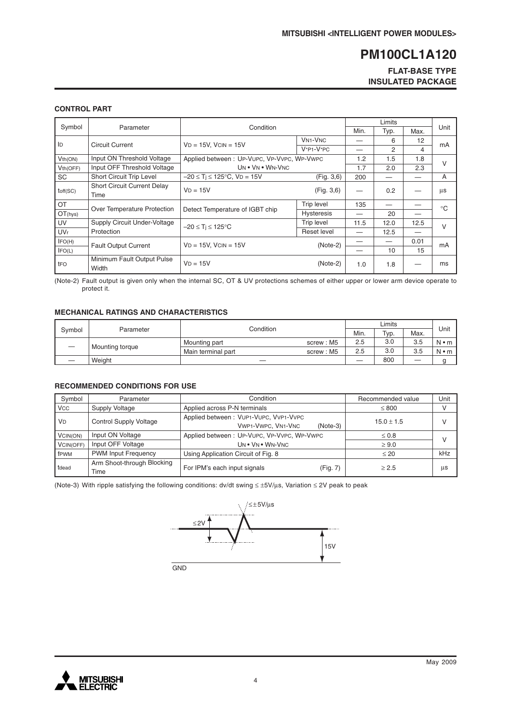#### **FLAT-BASE TYPE INSULATED PACKAGE**

#### **CONTROL PART**

| Symbol          | Parameter                                  | Condition                                  |                                      | Min. | Typ. | Max. | Unit         |
|-----------------|--------------------------------------------|--------------------------------------------|--------------------------------------|------|------|------|--------------|
| ID              | <b>Circuit Current</b>                     | $VD = 15V$ . $VCIN = 15V$                  | <b>VN<sub>1</sub>-V<sub>NC</sub></b> |      | 6    | 12   |              |
|                 |                                            |                                            | $V*P1-V*PC$                          |      | 2    | 4    | mA           |
| Vth(ON)         | Input ON Threshold Voltage                 | Applied between: UP-VUPC, VP-VVPC, WP-VWPC |                                      | 1.2  | 1.5  | 1.8  | $\vee$       |
| Vth(OFF)        | Input OFF Threshold Voltage                | UN . VN . WN-VNC                           |                                      | 1.7  | 2.0  | 2.3  |              |
| <b>SC</b>       | Short Circuit Trip Level                   | $-20 \le T_i \le 125^{\circ}$ C, VD = 15V  | (Fig. 3, 6)                          | 200  |      |      | A            |
| toff(SC)        | <b>Short Circuit Current Delay</b><br>Time | $VD = 15V$                                 | (Fig. 3, 6)                          |      | 0.2  |      | μs           |
| OT              | Over Temperature Protection                | Detect Temperature of IGBT chip            | Trip level                           | 135  |      |      | $^{\circ}$ C |
| OT(hys)         |                                            |                                            | <b>Hysteresis</b>                    |      | 20   |      |              |
| UV              | Supply Circuit Under-Voltage               | $-20 \leq T_i \leq 125^{\circ}C$           | <b>Trip level</b>                    | 11.5 | 12.0 | 12.5 | $\vee$       |
| UV <sub>r</sub> | Protection                                 |                                            | Reset level                          |      | 12.5 |      |              |
| IFO(H)          | <b>Fault Output Current</b>                | $VD = 15V$ , $VCIN = 15V$                  | $(Note-2)$                           |      |      | 0.01 | mA           |
| IFO(L)          |                                            |                                            |                                      |      | 10   | 15   |              |
| tFO             | Minimum Fault Output Pulse<br>Width        | $VD = 15V$                                 | $(Note-2)$                           | 1.0  | 1.8  |      | ms           |

(Note-2) Fault output is given only when the internal SC, OT & UV protections schemes of either upper or lower arm device operate to protect it.

#### **MECHANICAL RATINGS AND CHARACTERISTICS**

| Svmbol | Parameter       | Condition          | Min.      | Typ. | Max. | Unit    |             |
|--------|-----------------|--------------------|-----------|------|------|---------|-------------|
|        | Mounting torque | Mounting part      | screw: M5 | 2.5  | 3.0  | 3.5     | $N \cdot m$ |
|        |                 | Main terminal part | screw: M5 | 2.5  | 3.0  | 3.5     | $N \cdot m$ |
|        | Weight          |                    |           |      | 800  | —<br>__ |             |

#### **RECOMMENDED CONDITIONS FOR USE**

| Symbol     | Parameter                          | Condition                                                                        | Recommended value | Unit |
|------------|------------------------------------|----------------------------------------------------------------------------------|-------------------|------|
| <b>VCC</b> | Supply Voltage                     | Applied across P-N terminals                                                     | $\leq 800$        |      |
| <b>VD</b>  | <b>Control Supply Voltage</b>      | Applied between: VUP1-VUPC, VVP1-VVPC<br><b>VWP1-VWPC, VN1-VNC</b><br>$(Note-3)$ | $15.0 \pm 1.5$    |      |
| VCIN(ON)   | Input ON Voltage                   | Applied between: UP-VUPC, VP-VVPC, WP-VWPC                                       | $\leq 0.8$        |      |
| VCIN(OFF)  | Input OFF Voltage                  | UN . VN . WN-VNC                                                                 | $\geq 9.0$        |      |
| fPWM       | <b>PWM Input Frequency</b>         | Using Application Circuit of Fig. 8                                              | $\leq 20$         | kHz  |
| tdead      | Arm Shoot-through Blocking<br>Time | For IPM's each input signals<br>(Fig. 7)                                         | > 2.5             | μs   |

(Note-3) With ripple satisfying the following conditions: dv/dt swing ≤ ±5V/µs, Variation ≤ 2V peak to peak



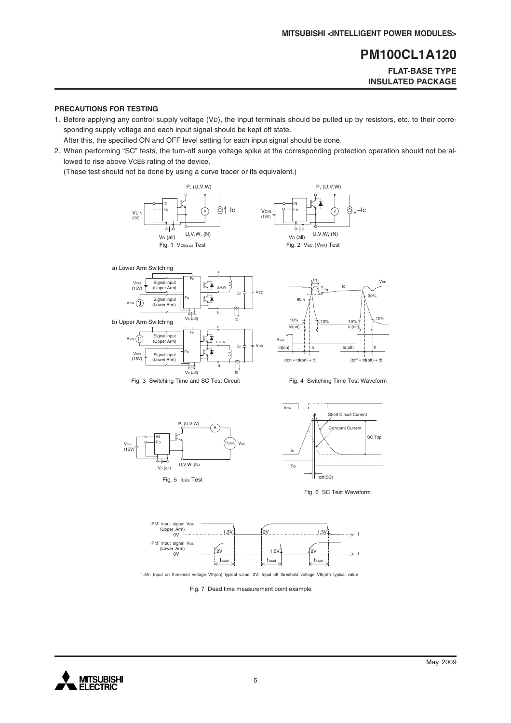#### **FLAT-BASE TYPE INSULATED PACKAGE**

#### **PRECAUTIONS FOR TESTING**

1. Before applying any control supply voltage (VD), the input terminals should be pulled up by resistors, etc. to their corresponding supply voltage and each input signal should be kept off state.

After this, the specified ON and OFF level setting for each input signal should be done.

2. When performing "SC" tests, the turn-off surge voltage spike at the corresponding protection operation should not be allowed to rise above VCES rating of the device.

(These test should not be done by using a curve tracer or its equivalent.)















1.5V: Input on threshold voltage Vth(on) typical value, 2V: Input off threshold voltage Vth(off) typical value

Fig. 7 Dead time measurement point example

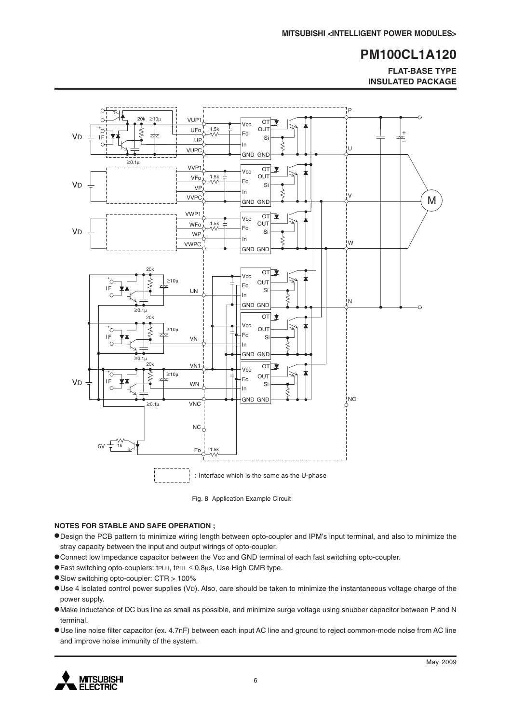**FLAT-BASE TYPE INSULATED PACKAGE**



Fig. 8 Application Example Circuit

#### **NOTES FOR STABLE AND SAFE OPERATION ;**

- •Design the PCB pattern to minimize wiring length between opto-coupler and IPM's input terminal, and also to minimize the stray capacity between the input and output wirings of opto-coupler.
- •Connect low impedance capacitor between the Vcc and GND terminal of each fast switching opto-coupler.
- •Fast switching opto-couplers: tPLH, tPHL <sup>≤</sup> 0.8µs, Use High CMR type.
- •Slow switching opto-coupler: CTR > 100%
- •Use 4 isolated control power supplies (VD). Also, care should be taken to minimize the instantaneous voltage charge of the power supply.
- •Make inductance of DC bus line as small as possible, and minimize surge voltage using snubber capacitor between P and N terminal.
- •Use line noise filter capacitor (ex. 4.7nF) between each input AC line and ground to reject common-mode noise from AC line and improve noise immunity of the system.

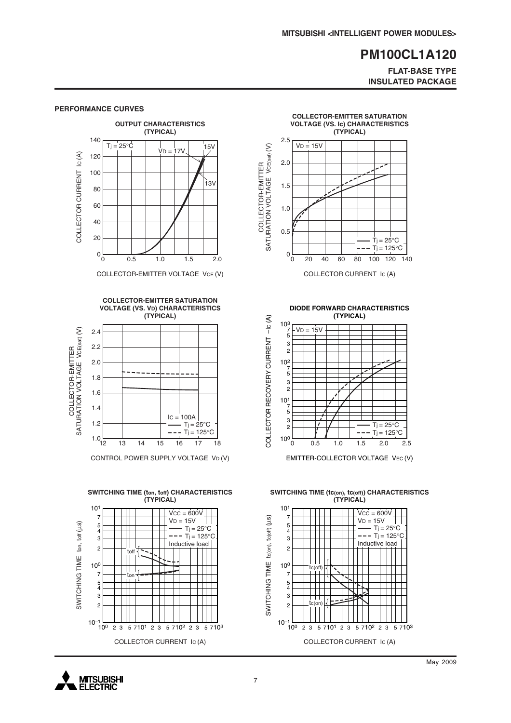#### **FLAT-BASE TYPE INSULATED PACKAGE**



COLLECTOR-EMITTER VOLTAGE VCE (V)



CONTROL POWER SUPPLY VOLTAGE VD (V)





COLLECTOR CURRENT IC (A)

**DIODE FORWARD CHARACTERISTICS**



EMITTER-COLLECTOR VOLTAGE VEC (V)

**SWITCHING TIME (tc(on), tc(off)) CHARACTERISTICS (TYPICAL)**



**MITSUBISHI ELECTRIC**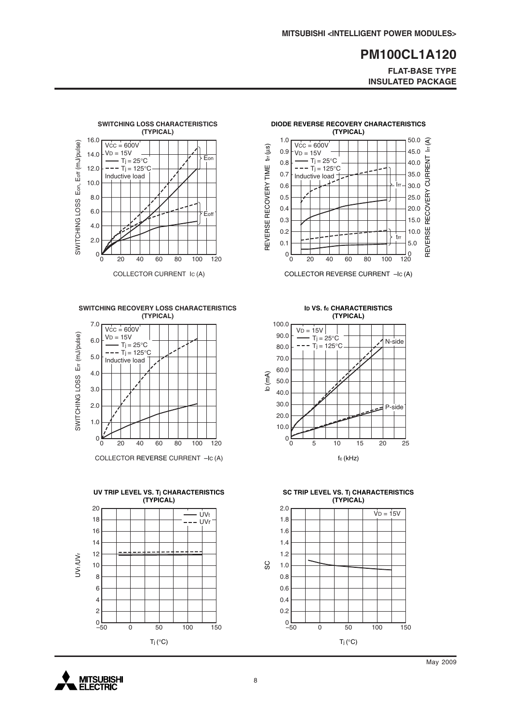**FLAT-BASE TYPE INSULATED PACKAGE**

10.0

5.0

trr

Irr

20.0

25.0

REVERSE RECOVERY CURRENT lrr (A)

REVERSE RECOVERY

15.0

30.0

35.0

40.0

45.0

50.0  $\hat{S}$ 

 $\sum_{i=1}^{n}$ 

CURRENT



**SWITCHING RECOVERY LOSS CHARACTERISTICS (TYPICAL)**



COLLECTOR REVERSE CURRENT –IC (A)





**DIODE REVERSE RECOVERY CHARACTERISTICS (TYPICAL)**

0.1 0.2 0.3 0.4 0.5 0.6 0.7 0.8 0.9 1.0

REVERSE RECOVERY TIME trr (µs)

REVERSE RECOVERY TIME

 $tr(\mu s)$ 

 $Vcc = 600V$  $V_D = 15V$  $-Tj = 25^{\circ}C$  $---$  T<sub>j</sub> = 125°C Inductive load  $\pm$ 

**ID VS. fc CHARACTERISTICS (TYPICAL)**



**SC TRIP LEVEL VS. Tj CHARACTERISTICS (TYPICAL)**